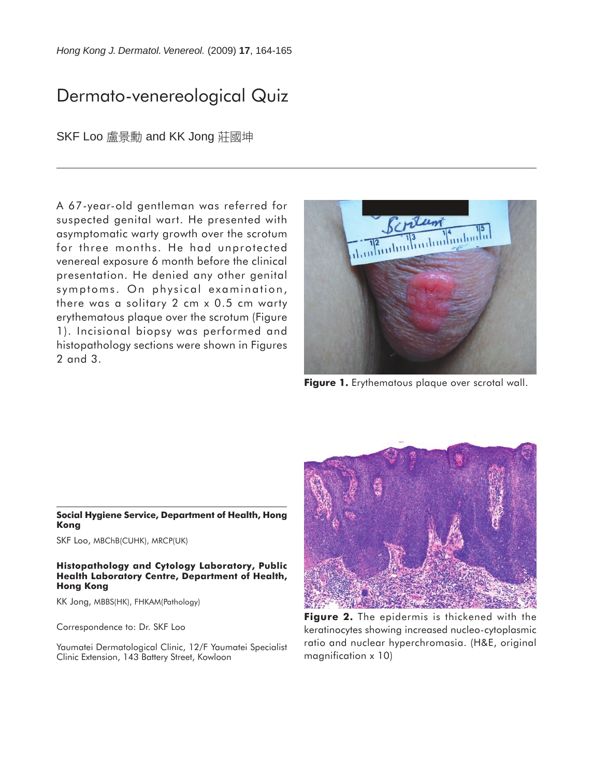*Hong Kong J. Dermatol. Venereol.* (2009) **17**, 164-165

# Dermato-venereological Quiz

SKF Loo 盧景勳 and KK Jong 莊國坤

A 67-year-old gentleman was referred for suspected genital wart. He presented with asymptomatic warty growth over the scrotum for three months. He had unprotected venereal exposure 6 month before the clinical presentation. He denied any other genital symptoms. On physical examination, there was a solitary 2 cm x 0.5 cm warty erythematous plaque over the scrotum (Figure 1). Incisional biopsy was performed and histopathology sections were shown in Figures 2 and 3.



**Figure 1.** Erythematous plaque over scrotal wall.

#### **Social Hygiene Service, Department of Health, Hong Kong**

SKF Loo, MBChB(CUHK), MRCP(UK)

### **Histopathology and Cytology Laboratory, Public Health Laboratory Centre, Department of Health, Hong Kong**

KK Jong, MBBS(HK), FHKAM(Pathology)

Correspondence to: Dr. SKF Loo

Yaumatei Dermatological Clinic, 12/F Yaumatei Specialist Clinic Extension, 143 Battery Street, Kowloon



**Figure 2.** The epidermis is thickened with the keratinocytes showing increased nucleo-cytoplasmic ratio and nuclear hyperchromasia. (H&E, original magnification x 10)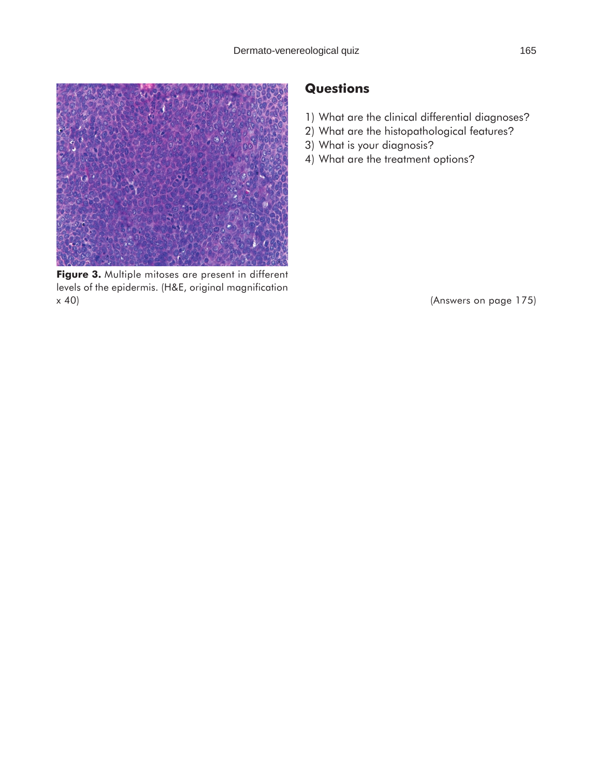

**Figure 3.** Multiple mitoses are present in different levels of the epidermis. (H&E, original magnification x 40)

### **Questions**

- 1) What are the clinical differential diagnoses?
- 2) What are the histopathological features?
- 3) What is your diagnosis?
- 4) What are the treatment options?

(Answers on page 175)